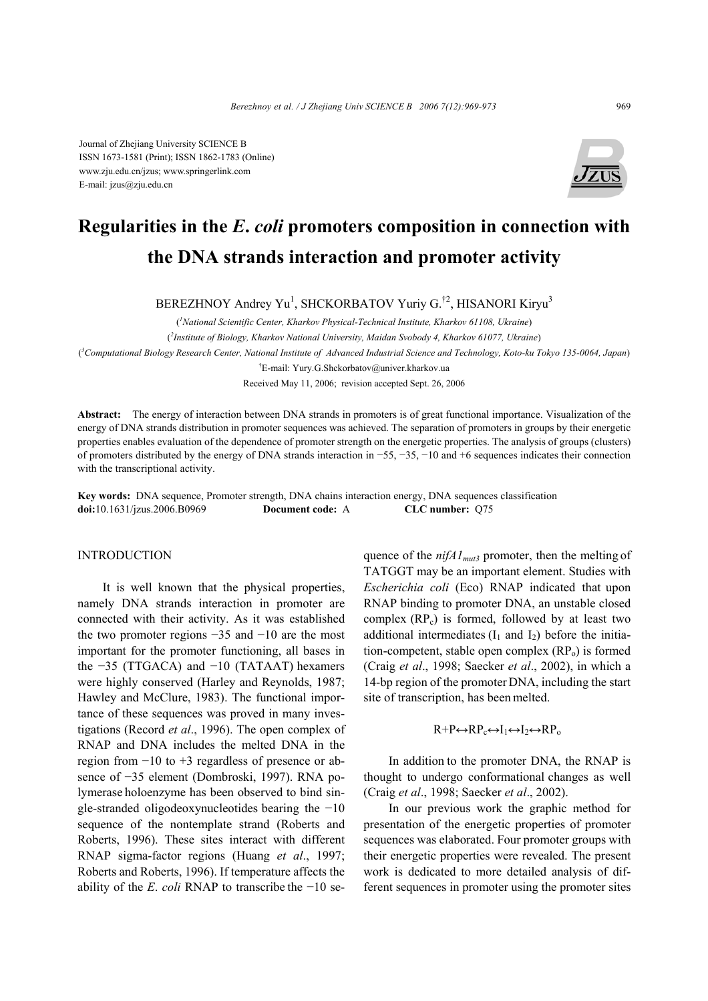Journal of Zhejiang University SCIENCE B ISSN 1673-1581 (Print); ISSN 1862-1783 (Online) www.zju.edu.cn/jzus; www.springerlink.com E-mail: jzus@zju.edu.cn



# **Regularities in the** *E***.** *coli* **promoters composition in connection with the DNA strands interaction and promoter activity**

BEREZHNOY Andrey Yu<sup>1</sup>, SHCKORBATOV Yuriy G.<sup>†2</sup>, HISANORI Kiryu<sup>3</sup>

( *1 National Scientific Center, Kharkov Physical-Technical Institute, Kharkov 61108, Ukraine*)

( *2 Institute of Biology, Kharkov National University, Maidan Svobody 4, Kharkov 61077, Ukraine*)

( *3 Computational Biology Research Center, National Institute of Advanced Industrial Science and Technology, Koto-ku Tokyo 135-0064, Japan*)

† E-mail: Yury.G.Shckorbatov@univer.kharkov.ua

Received May 11, 2006; revision accepted Sept. 26, 2006

**Abstract:** The energy of interaction between DNA strands in promoters is of great functional importance. Visualization of the energy of DNA strands distribution in promoter sequences was achieved. The separation of promoters in groups by their energetic properties enables evaluation of the dependence of promoter strength on the energetic properties. The analysis of groups (clusters) of promoters distributed by the energy of DNA strands interaction in −55, −35, −10 and +6 sequences indicates their connection with the transcriptional activity.

**Key words:** DNA sequence, Promoter strength, DNA chains interaction energy, DNA sequences classification **doi:**10.1631/jzus.2006.B0969 **Document code:** A **CLC number:** Q75

## INTRODUCTION

It is well known that the physical properties, namely DNA strands interaction in promoter are connected with their activity. As it was established the two promoter regions −35 and −10 are the most important for the promoter functioning, all bases in the −35 (TTGACA) and −10 (TATAAT) hexamers were highly conserved (Harley and Reynolds, 1987; Hawley and McClure, 1983). The functional importance of these sequences was proved in many investigations (Record *et al*., 1996). The open complex of RNAP and DNA includes the melted DNA in the region from −10 to +3 regardless of presence or absence of −35 element (Dombroski, 1997). RNA polymerase holoenzyme has been observed to bind single-stranded oligodeoxynucleotides bearing the −10 sequence of the nontemplate strand (Roberts and Roberts, 1996). These sites interact with different RNAP sigma-factor regions (Huang *et al*., 1997; Roberts and Roberts, 1996). If temperature affects the ability of the *E*. *coli* RNAP to transcribe the −10 sequence of the *nifA1<sub>mut3</sub>* promoter, then the melting of TATGGT may be an important element. Studies with *Escherichia coli* (Eco) RNAP indicated that upon RNAP binding to promoter DNA, an unstable closed complex  $(RP_c)$  is formed, followed by at least two additional intermediates  $(I_1 \text{ and } I_2)$  before the initiation-competent, stable open complex  $(RP_0)$  is formed (Craig *et al*., 1998; Saecker *et al*., 2002), in which a 14-bp region of the promoterDNA, including the start site of transcription, has been melted.

# $R+P \leftrightarrow RP_{c} \leftrightarrow I_1 \leftrightarrow I_2 \leftrightarrow RP_{o}$

In addition to the promoter DNA, the RNAP is thought to undergo conformational changes as well (Craig *et al*., 1998; Saecker *et al*., 2002).

In our previous work the graphic method for presentation of the energetic properties of promoter sequences was elaborated. Four promoter groups with their energetic properties were revealed. The present work is dedicated to more detailed analysis of different sequences in promoter using the promoter sites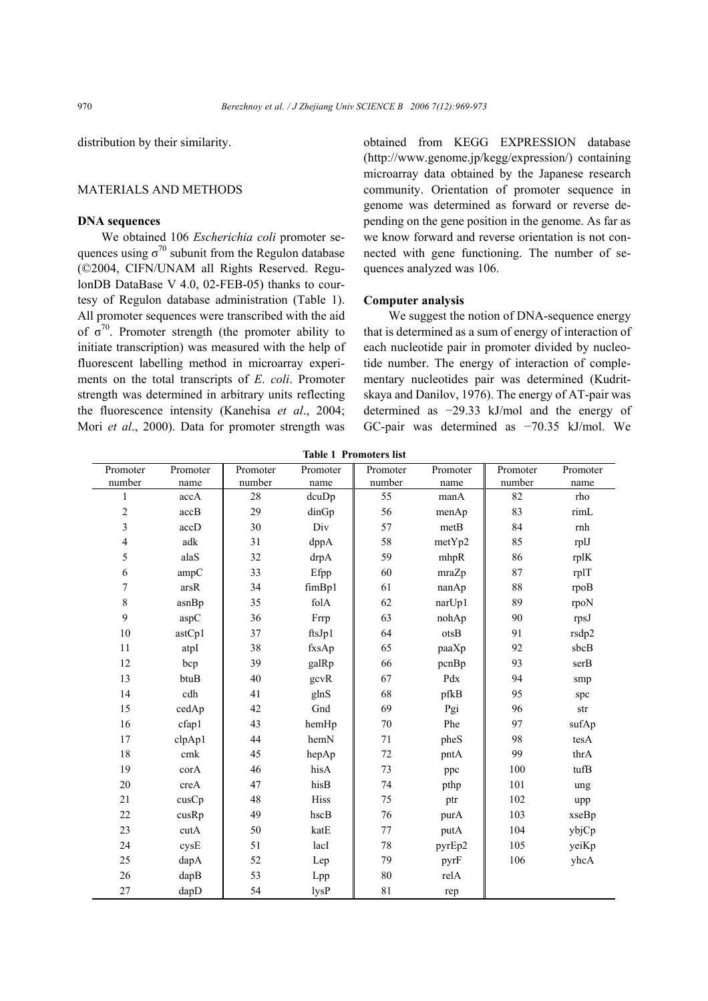distribution by their similarity.

## MATERIALS AND METHODS

#### **DNA sequences**

We obtained 106 *Escherichia coli* promoter sequences using  $\sigma^{70}$  subunit from the Regulon database (©2004, CIFN/UNAM all Rights Reserved. RegulonDB DataBase V 4.0, 02-FEB-05) thanks to courtesy of Regulon database administration (Table 1). All promoter sequences were transcribed with the aid of  $\sigma^{70}$ . Promoter strength (the promoter ability to initiate transcription) was measured with the help of fluorescent labelling method in microarray experiments on the total transcripts of *E*. *coli*. Promoter strength was determined in arbitrary units reflecting the fluorescence intensity (Kanehisa *et al*., 2004; Mori *et al*., 2000). Data for promoter strength was

obtained from KEGG EXPRESSION database (http://www.genome.jp/kegg/expression/) containing microarray data obtained by the Japanese research community. Orientation of promoter sequence in genome was determined as forward or reverse depending on the gene position in the genome. As far as we know forward and reverse orientation is not connected with gene functioning. The number of sequences analyzed was 106.

#### **Computer analysis**

We suggest the notion of DNA-sequence energy that is determined as a sum of energy of interaction of each nucleotide pair in promoter divided by nucleotide number. The energy of interaction of complementary nucleotides pair was determined (Kudritskaya and Danilov, 1976). The energy of AT-pair was determined as −29.33 kJ/mol and the energy of GC-pair was determined as −70.35 kJ/mol. We

| Promoter         | Promoter | Promoter | Promoter | Promoter    | Promoter        | Promoter | Promoter   |
|------------------|----------|----------|----------|-------------|-----------------|----------|------------|
| number           | name     | number   | name     | number      | name            | number   | name       |
| $\mathbf{1}$     | accA     | $28\,$   | dcuDp    | 55          | manA            | 82       | rho        |
| $\boldsymbol{2}$ | accB     | 29       | dinGp    | 56          | menAp           | 83       | rimL       |
| $\mathfrak{Z}$   | accD     | 30       | Div      | 57          | metB            | 84       | $\rm{rnh}$ |
| 4                | adk      | 31       | dppA     | 58          | metYp2          | 85       | rplJ       |
| 5                | alaS     | 32       | drpA     | 59          | mhpR            | 86       | rplK       |
| 6                | ampC     | 33       | Efpp     | 60          | mraZp           | 87       | rplT       |
| $\boldsymbol{7}$ | $arsR$   | 34       | fimBp1   | 61          | nanAp           | 88       | rpoB       |
| $\,$ $\,$        | asnBp    | 35       | folA     | 62          | narUp1          | 89       | rpoN       |
| 9                | aspC     | 36       | Frrp     | 63          | nohAp           | 90       | rpsJ       |
| 10               | astCp1   | 37       | ftsJp1   | 64          | $\mathrm{otsB}$ | 91       | rsdp2      |
| 11               | atpI     | 38       | fxsAp    | 65          | paaXp           | 92       | sbcB       |
| 12               | bcp      | 39       | galRp    | 66          | pcnBp           | 93       | serB       |
| 13               | btuB     | 40       | gcvR     | 67          | Pdx             | 94       | smp        |
| 14               | cdh      | 41       | glnS     | 68          | pfkB            | 95       | spc        |
| 15               | cedAp    | 42       | Gnd      | 69          | Pgi             | 96       | str        |
| 16               | cfap1    | 43       | hemHp    | $70\,$      | Phe             | 97       | sufAp      |
| 17               | clpAp1   | 44       | hemN     | $71\,$      | pheS            | 98       | tesA       |
| 18               | cmk      | 45       | hepAp    | $72\,$      | pntA            | 99       | thrA       |
| 19               | corA     | 46       | hisA     | 73          | ppc             | 100      | tufB       |
| $20\,$           | creA     | 47       | hisB     | 74          | pthp            | 101      | ung        |
| 21               | cusCp    | 48       | Hiss     | 75          | ptr             | 102      | upp        |
| $22\,$           | cusRp    | 49       | hscB     | 76          | purA            | 103      | xseBp      |
| 23               | cutA     | 50       | katE     | $77 \,$     | putA            | 104      | ybjCp      |
| 24               | cysE     | 51       | lacI     | 78          | pyrEp2          | 105      | yeiKp      |
| 25               | dapA     | 52       | Lep      | 79          | pyrF            | 106      | yhcA       |
| $26\,$           | dapB     | 53       | Lpp      | 80          | relA            |          |            |
| $27\,$           | dapD     | 54       | lysP     | $8\sqrt{1}$ | rep             |          |            |

**Table 1 Promoters list**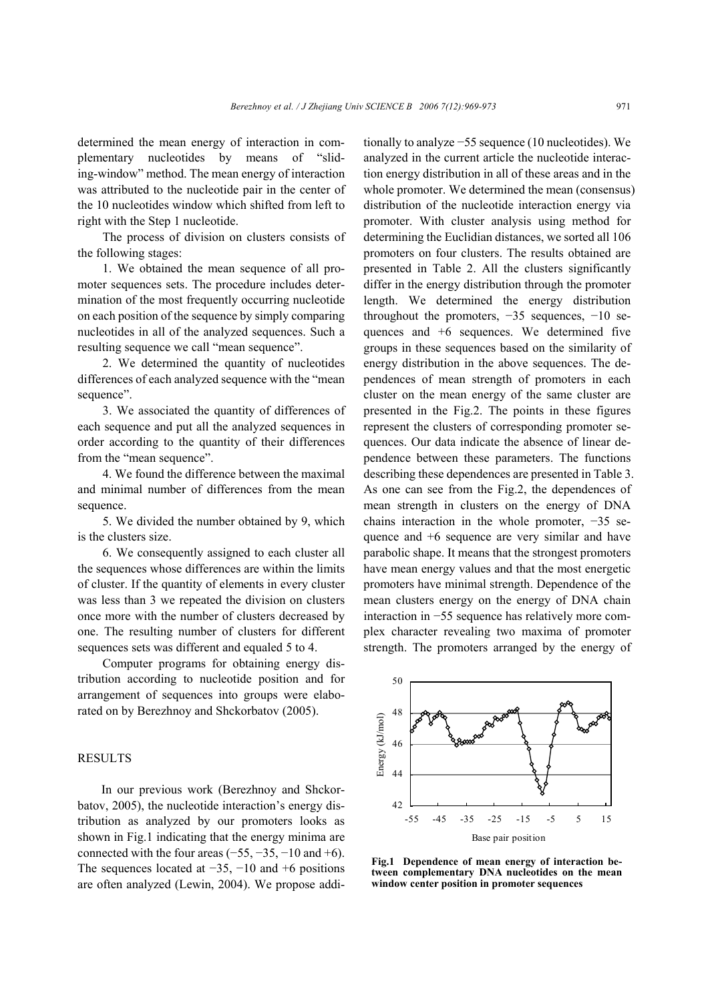determined the mean energy of interaction in complementary nucleotides by means of "sliding-window" method. The mean energy of interaction was attributed to the nucleotide pair in the center of the 10 nucleotides window which shifted from left to right with the Step 1 nucleotide.

The process of division on clusters consists of the following stages:

1. We obtained the mean sequence of all promoter sequences sets. The procedure includes determination of the most frequently occurring nucleotide on each position of the sequence by simply comparing nucleotides in all of the analyzed sequences. Such a resulting sequence we call "mean sequence".

2. We determined the quantity of nucleotides differences of each analyzed sequence with the "mean sequence".

3. We associated the quantity of differences of each sequence and put all the analyzed sequences in order according to the quantity of their differences from the "mean sequence".

4. We found the difference between the maximal and minimal number of differences from the mean sequence.

5. We divided the number obtained by 9, which is the clusters size.

6. We consequently assigned to each cluster all the sequences whose differences are within the limits of cluster. If the quantity of elements in every cluster was less than 3 we repeated the division on clusters once more with the number of clusters decreased by one. The resulting number of clusters for different sequences sets was different and equaled 5 to 4.

Computer programs for obtaining energy distribution according to nucleotide position and for arrangement of sequences into groups were elaborated on by Berezhnoy and Shckorbatov (2005).

## RESULTS

In our previous work (Berezhnoy and Shckorbatov, 2005), the nucleotide interaction's energy distribution as analyzed by our promoters looks as shown in Fig.1 indicating that the energy minima are connected with the four areas  $(-55, -35, -10, -16)$ . The sequences located at  $-35$ ,  $-10$  and  $+6$  positions are often analyzed (Lewin, 2004). We propose additionally to analyze −55 sequence (10 nucleotides). We analyzed in the current article the nucleotide interaction energy distribution in all of these areas and in the whole promoter. We determined the mean (consensus) distribution of the nucleotide interaction energy via promoter. With cluster analysis using method for determining the Euclidian distances, we sorted all 106 promoters on four clusters. The results obtained are presented in Table 2. All the clusters significantly differ in the energy distribution through the promoter length. We determined the energy distribution throughout the promoters,  $-35$  sequences,  $-10$  sequences and +6 sequences. We determined five groups in these sequences based on the similarity of energy distribution in the above sequences. The dependences of mean strength of promoters in each cluster on the mean energy of the same cluster are presented in the Fig.2. The points in these figures represent the clusters of corresponding promoter sequences. Our data indicate the absence of linear dependence between these parameters. The functions describing these dependences are presented in Table 3. As one can see from the Fig.2, the dependences of mean strength in clusters on the energy of DNA chains interaction in the whole promoter, −35 sequence and +6 sequence are very similar and have parabolic shape. It means that the strongest promoters have mean energy values and that the most energetic promoters have minimal strength. Dependence of the mean clusters energy on the energy of DNA chain interaction in −55 sequence has relatively more complex character revealing two maxima of promoter strength. The promoters arranged by the energy of



**Fig.1 Dependence of mean energy of interaction between complementary DNA nucleotides on the mean window center position in promoter sequences**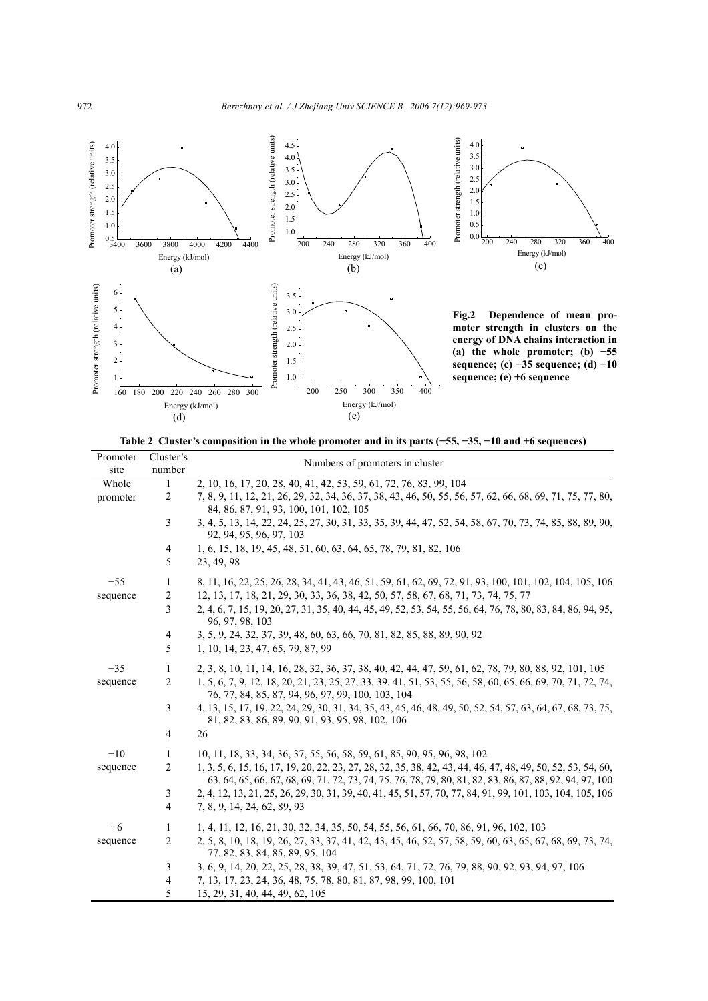

**Table 2 Cluster's composition in the whole promoter and in its parts (−55, −35, −10 and +6 sequences)** 

| Promoter<br>site | Cluster's<br>number | Numbers of promoters in cluster                                                                                                                                                                                        |  |  |  |  |
|------------------|---------------------|------------------------------------------------------------------------------------------------------------------------------------------------------------------------------------------------------------------------|--|--|--|--|
| Whole            | -1                  | 2, 10, 16, 17, 20, 28, 40, 41, 42, 53, 59, 61, 72, 76, 83, 99, 104                                                                                                                                                     |  |  |  |  |
| promoter         | 2                   | 7, 8, 9, 11, 12, 21, 26, 29, 32, 34, 36, 37, 38, 43, 46, 50, 55, 56, 57, 62, 66, 68, 69, 71, 75, 77, 80,<br>84, 86, 87, 91, 93, 100, 101, 102, 105                                                                     |  |  |  |  |
|                  | $\overline{3}$      | 3, 4, 5, 13, 14, 22, 24, 25, 27, 30, 31, 33, 35, 39, 44, 47, 52, 54, 58, 67, 70, 73, 74, 85, 88, 89, 90,<br>92, 94, 95, 96, 97, 103                                                                                    |  |  |  |  |
|                  | 4                   | 1, 6, 15, 18, 19, 45, 48, 51, 60, 63, 64, 65, 78, 79, 81, 82, 106                                                                                                                                                      |  |  |  |  |
|                  | 5                   | 23, 49, 98                                                                                                                                                                                                             |  |  |  |  |
| $-55$            | 1                   | 8, 11, 16, 22, 25, 26, 28, 34, 41, 43, 46, 51, 59, 61, 62, 69, 72, 91, 93, 100, 101, 102, 104, 105, 106                                                                                                                |  |  |  |  |
| sequence         | 2                   | 12, 13, 17, 18, 21, 29, 30, 33, 36, 38, 42, 50, 57, 58, 67, 68, 71, 73, 74, 75, 77                                                                                                                                     |  |  |  |  |
|                  | 3                   | 2, 4, 6, 7, 15, 19, 20, 27, 31, 35, 40, 44, 45, 49, 52, 53, 54, 55, 56, 64, 76, 78, 80, 83, 84, 86, 94, 95,<br>96, 97, 98, 103                                                                                         |  |  |  |  |
|                  | 4                   | 3, 5, 9, 24, 32, 37, 39, 48, 60, 63, 66, 70, 81, 82, 85, 88, 89, 90, 92                                                                                                                                                |  |  |  |  |
|                  | 5                   | 1, 10, 14, 23, 47, 65, 79, 87, 99                                                                                                                                                                                      |  |  |  |  |
| $-35$            | 1                   | 2, 3, 8, 10, 11, 14, 16, 28, 32, 36, 37, 38, 40, 42, 44, 47, 59, 61, 62, 78, 79, 80, 88, 92, 101, 105                                                                                                                  |  |  |  |  |
| sequence         | 2                   | 1, 5, 6, 7, 9, 12, 18, 20, 21, 23, 25, 27, 33, 39, 41, 51, 53, 55, 56, 58, 60, 65, 66, 69, 70, 71, 72, 74,<br>76, 77, 84, 85, 87, 94, 96, 97, 99, 100, 103, 104                                                        |  |  |  |  |
|                  | 3                   | 4, 13, 15, 17, 19, 22, 24, 29, 30, 31, 34, 35, 43, 45, 46, 48, 49, 50, 52, 54, 57, 63, 64, 67, 68, 73, 75,<br>81, 82, 83, 86, 89, 90, 91, 93, 95, 98, 102, 106                                                         |  |  |  |  |
|                  | $\overline{4}$      | 26                                                                                                                                                                                                                     |  |  |  |  |
| $-10$            | -1                  | 10, 11, 18, 33, 34, 36, 37, 55, 56, 58, 59, 61, 85, 90, 95, 96, 98, 102                                                                                                                                                |  |  |  |  |
| sequence         | 2                   | 1, 3, 5, 6, 15, 16, 17, 19, 20, 22, 23, 27, 28, 32, 35, 38, 42, 43, 44, 46, 47, 48, 49, 50, 52, 53, 54, 60,<br>63, 64, 65, 66, 67, 68, 69, 71, 72, 73, 74, 75, 76, 78, 79, 80, 81, 82, 83, 86, 87, 88, 92, 94, 97, 100 |  |  |  |  |
|                  | 3                   | 2, 4, 12, 13, 21, 25, 26, 29, 30, 31, 39, 40, 41, 45, 51, 57, 70, 77, 84, 91, 99, 101, 103, 104, 105, 106                                                                                                              |  |  |  |  |
|                  | $\overline{4}$      | 7, 8, 9, 14, 24, 62, 89, 93                                                                                                                                                                                            |  |  |  |  |
| $+6$             | 1                   | 1, 4, 11, 12, 16, 21, 30, 32, 34, 35, 50, 54, 55, 56, 61, 66, 70, 86, 91, 96, 102, 103                                                                                                                                 |  |  |  |  |
| sequence         | 2                   | 2, 5, 8, 10, 18, 19, 26, 27, 33, 37, 41, 42, 43, 45, 46, 52, 57, 58, 59, 60, 63, 65, 67, 68, 69, 73, 74,<br>77, 82, 83, 84, 85, 89, 95, 104                                                                            |  |  |  |  |
|                  | 3                   | 3, 6, 9, 14, 20, 22, 25, 28, 38, 39, 47, 51, 53, 64, 71, 72, 76, 79, 88, 90, 92, 93, 94, 97, 106                                                                                                                       |  |  |  |  |
|                  | 4                   | 7, 13, 17, 23, 24, 36, 48, 75, 78, 80, 81, 87, 98, 99, 100, 101                                                                                                                                                        |  |  |  |  |
|                  | 5                   | 15, 29, 31, 40, 44, 49, 62, 105                                                                                                                                                                                        |  |  |  |  |